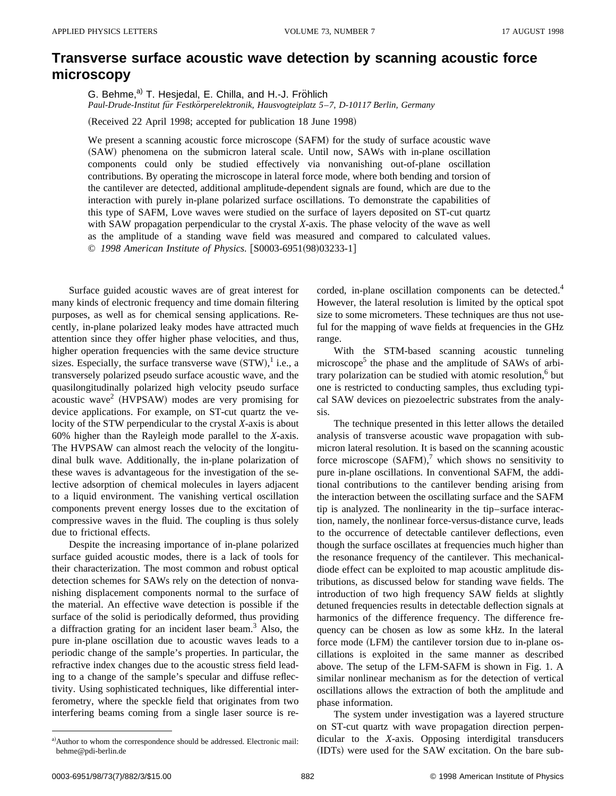## **Transverse surface acoustic wave detection by scanning acoustic force microscopy**

G. Behme,<sup>a)</sup> T. Hesjedal, E. Chilla, and H.-J. Fröhlich *Paul-Drude-Institut fu¨r Festko¨rperelektronik, Hausvogteiplatz 5*–*7, D-10117 Berlin, Germany*

(Received 22 April 1998; accepted for publication 18 June 1998)

We present a scanning acoustic force microscope (SAFM) for the study of surface acoustic wave (SAW) phenomena on the submicron lateral scale. Until now, SAWs with in-plane oscillation components could only be studied effectively via nonvanishing out-of-plane oscillation contributions. By operating the microscope in lateral force mode, where both bending and torsion of the cantilever are detected, additional amplitude-dependent signals are found, which are due to the interaction with purely in-plane polarized surface oscillations. To demonstrate the capabilities of this type of SAFM, Love waves were studied on the surface of layers deposited on ST-cut quartz with SAW propagation perpendicular to the crystal *X*-axis. The phase velocity of the wave as well as the amplitude of a standing wave field was measured and compared to calculated values. © 1998 American Institute of Physics. [S0003-6951(98)03233-1]

Surface guided acoustic waves are of great interest for many kinds of electronic frequency and time domain filtering purposes, as well as for chemical sensing applications. Recently, in-plane polarized leaky modes have attracted much attention since they offer higher phase velocities, and thus, higher operation frequencies with the same device structure sizes. Especially, the surface transverse wave  $(STW)$ , i.e., a transversely polarized pseudo surface acoustic wave, and the quasilongitudinally polarized high velocity pseudo surface acoustic wave<sup>2</sup> (HVPSAW) modes are very promising for device applications. For example, on ST-cut quartz the velocity of the STW perpendicular to the crystal *X*-axis is about 60% higher than the Rayleigh mode parallel to the *X*-axis. The HVPSAW can almost reach the velocity of the longitudinal bulk wave. Additionally, the in-plane polarization of these waves is advantageous for the investigation of the selective adsorption of chemical molecules in layers adjacent to a liquid environment. The vanishing vertical oscillation components prevent energy losses due to the excitation of compressive waves in the fluid. The coupling is thus solely due to frictional effects.

Despite the increasing importance of in-plane polarized surface guided acoustic modes, there is a lack of tools for their characterization. The most common and robust optical detection schemes for SAWs rely on the detection of nonvanishing displacement components normal to the surface of the material. An effective wave detection is possible if the surface of the solid is periodically deformed, thus providing a diffraction grating for an incident laser beam.<sup>3</sup> Also, the pure in-plane oscillation due to acoustic waves leads to a periodic change of the sample's properties. In particular, the refractive index changes due to the acoustic stress field leading to a change of the sample's specular and diffuse reflectivity. Using sophisticated techniques, like differential interferometry, where the speckle field that originates from two interfering beams coming from a single laser source is recorded, in-plane oscillation components can be detected.<sup>4</sup> However, the lateral resolution is limited by the optical spot size to some micrometers. These techniques are thus not useful for the mapping of wave fields at frequencies in the GHz range.

With the STM-based scanning acoustic tunneling microscope<sup>5</sup> the phase and the amplitude of SAWs of arbitrary polarization can be studied with atomic resolution, $6$  but one is restricted to conducting samples, thus excluding typical SAW devices on piezoelectric substrates from the analysis.

The technique presented in this letter allows the detailed analysis of transverse acoustic wave propagation with submicron lateral resolution. It is based on the scanning acoustic force microscope  $(SAFM)$ ,<sup>7</sup> which shows no sensitivity to pure in-plane oscillations. In conventional SAFM, the additional contributions to the cantilever bending arising from the interaction between the oscillating surface and the SAFM tip is analyzed. The nonlinearity in the tip–surface interaction, namely, the nonlinear force-versus-distance curve, leads to the occurrence of detectable cantilever deflections, even though the surface oscillates at frequencies much higher than the resonance frequency of the cantilever. This mechanicaldiode effect can be exploited to map acoustic amplitude distributions, as discussed below for standing wave fields. The introduction of two high frequency SAW fields at slightly detuned frequencies results in detectable deflection signals at harmonics of the difference frequency. The difference frequency can be chosen as low as some kHz. In the lateral force mode (LFM) the cantilever torsion due to in-plane oscillations is exploited in the same manner as described above. The setup of the LFM-SAFM is shown in Fig. 1. A similar nonlinear mechanism as for the detection of vertical oscillations allows the extraction of both the amplitude and phase information.

The system under investigation was a layered structure on ST-cut quartz with wave propagation direction perpendicular to the *X*-axis. Opposing interdigital transducers (IDTs) were used for the SAW excitation. On the bare sub-

a)Author to whom the correspondence should be addressed. Electronic mail: behme@pdi-berlin.de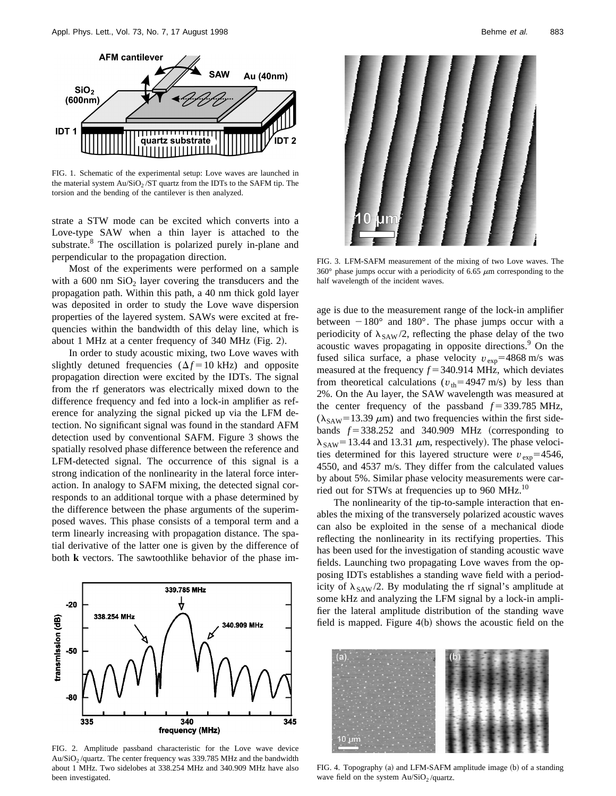

FIG. 1. Schematic of the experimental setup: Love waves are launched in the material system  $Au/SiO<sub>2</sub>/ST$  quartz from the IDTs to the SAFM tip. The torsion and the bending of the cantilever is then analyzed.

strate a STW mode can be excited which converts into a Love-type SAW when a thin layer is attached to the substrate.<sup>8</sup> The oscillation is polarized purely in-plane and perpendicular to the propagation direction.

Most of the experiments were performed on a sample with a  $600 \text{ nm } \text{SiO}_2$  layer covering the transducers and the propagation path. Within this path, a 40 nm thick gold layer was deposited in order to study the Love wave dispersion properties of the layered system. SAWs were excited at frequencies within the bandwidth of this delay line, which is about 1 MHz at a center frequency of 340 MHz (Fig. 2).

In order to study acoustic mixing, two Love waves with slightly detuned frequencies  $(\Delta f = 10 \text{ kHz})$  and opposite propagation direction were excited by the IDTs. The signal from the rf generators was electrically mixed down to the difference frequency and fed into a lock-in amplifier as reference for analyzing the signal picked up via the LFM detection. No significant signal was found in the standard AFM detection used by conventional SAFM. Figure 3 shows the spatially resolved phase difference between the reference and LFM-detected signal. The occurrence of this signal is a strong indication of the nonlinearity in the lateral force interaction. In analogy to SAFM mixing, the detected signal corresponds to an additional torque with a phase determined by the difference between the phase arguments of the superimposed waves. This phase consists of a temporal term and a term linearly increasing with propagation distance. The spatial derivative of the latter one is given by the difference of both **k** vectors. The sawtoothlike behavior of the phase im-



FIG. 2. Amplitude passband characteristic for the Love wave device Au/SiO<sub>2</sub>/quartz. The center frequency was 339.785 MHz and the bandwidth about 1 MHz. Two sidelobes at 338.254 MHz and 340.909 MHz have also been investigated.



FIG. 3. LFM-SAFM measurement of the mixing of two Love waves. The 360 $^{\circ}$  phase jumps occur with a periodicity of 6.65  $\mu$ m corresponding to the half wavelength of the incident waves.

age is due to the measurement range of the lock-in amplifier between  $-180^\circ$  and  $180^\circ$ . The phase jumps occur with a periodicity of  $\lambda_{SAW}$ /2, reflecting the phase delay of the two acoustic waves propagating in opposite directions.<sup>9</sup> On the fused silica surface, a phase velocity  $v_{exp}$ =4868 m/s was measured at the frequency  $f = 340.914$  MHz, which deviates from theoretical calculations ( $v_{\text{th}}$ =4947 m/s) by less than 2%. On the Au layer, the SAW wavelength was measured at the center frequency of the passband  $f = 339.785 \text{ MHz}$ ,  $(\lambda_{SAW} = 13.39 \ \mu m)$  and two frequencies within the first sidebands  $f = 338.252$  and  $340.909$  MHz (corresponding to  $\lambda_{SAW}$ = 13.44 and 13.31  $\mu$ m, respectively). The phase velocities determined for this layered structure were  $v_{\text{exp}}$ =4546, 4550, and 4537 m/s. They differ from the calculated values by about 5%. Similar phase velocity measurements were carried out for STWs at frequencies up to 960 MHz.<sup>10</sup>

The nonlinearity of the tip-to-sample interaction that enables the mixing of the transversely polarized acoustic waves can also be exploited in the sense of a mechanical diode reflecting the nonlinearity in its rectifying properties. This has been used for the investigation of standing acoustic wave fields. Launching two propagating Love waves from the opposing IDTs establishes a standing wave field with a periodicity of  $\lambda_{SAW}$ /2. By modulating the rf signal's amplitude at some kHz and analyzing the LFM signal by a lock-in amplifier the lateral amplitude distribution of the standing wave field is mapped. Figure  $4(b)$  shows the acoustic field on the



FIG. 4. Topography (a) and LFM-SAFM amplitude image (b) of a standing wave field on the system  $Au/SiO<sub>2</sub> /quartz$ .